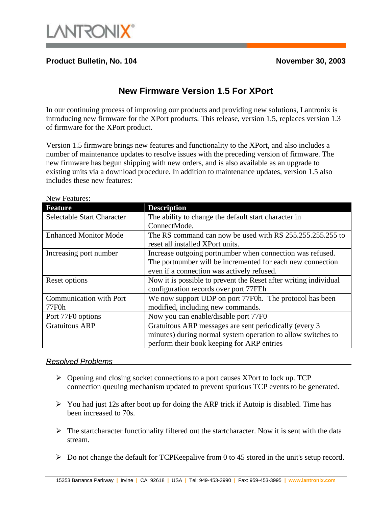

## **Product Bulletin, No. 104 November 30, 2003**

## **New Firmware Version 1.5 For XPort**

In our continuing process of improving our products and providing new solutions, Lantronix is introducing new firmware for the XPort products. This release, version 1.5, replaces version 1.3 of firmware for the XPort product.

Version 1.5 firmware brings new features and functionality to the XPort, and also includes a number of maintenance updates to resolve issues with the preceding version of firmware. The new firmware has begun shipping with new orders, and is also available as an upgrade to existing units via a download procedure. In addition to maintenance updates, version 1.5 also includes these new features:

| <b>Feature</b>                    | <b>Description</b>                                               |
|-----------------------------------|------------------------------------------------------------------|
| <b>Selectable Start Character</b> | The ability to change the default start character in             |
|                                   | ConnectMode.                                                     |
| <b>Enhanced Monitor Mode</b>      | The RS command can now be used with RS 255.255.255.255 to        |
|                                   | reset all installed XPort units.                                 |
| Increasing port number            | Increase outgoing portnumber when connection was refused.        |
|                                   | The portnumber will be incremented for each new connection       |
|                                   | even if a connection was actively refused.                       |
| Reset options                     | Now it is possible to prevent the Reset after writing individual |
|                                   | configuration records over port 77FEh                            |
| Communication with Port           | We now support UDP on port 77F0h. The protocol has been          |
| 77F0h                             | modified, including new commands.                                |
| Port 77F0 options                 | Now you can enable/disable port 77F0                             |
| <b>Gratuitous ARP</b>             | Gratuitous ARP messages are sent periodically (every 3)          |
|                                   | minutes) during normal system operation to allow switches to     |
|                                   | perform their book keeping for ARP entries                       |

New Features:

## *Resolved Problems*

- ¾ Opening and closing socket connections to a port causes XPort to lock up. TCP connection queuing mechanism updated to prevent spurious TCP events to be generated.
- $\triangleright$  You had just 12s after boot up for doing the ARP trick if Autoip is disabled. Time has been increased to 70s.
- $\triangleright$  The startcharacter functionality filtered out the startcharacter. Now it is sent with the data stream.
- $\triangleright$  Do not change the default for TCPKeepalive from 0 to 45 stored in the unit's setup record.